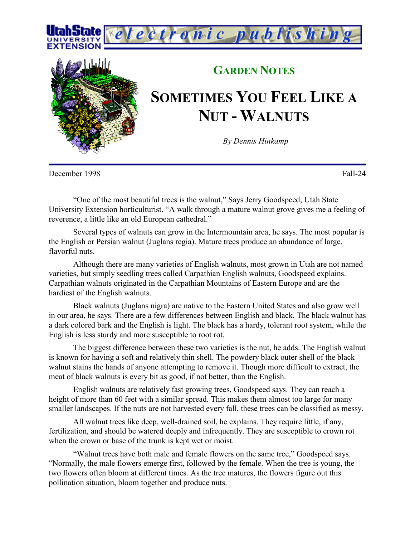



## **GARDEN NOTES**

## **SOMETIMES YOU FEEL LIKE A NUT - WALNUTS**

*By Dennis Hinkamp*

December 1998 Fall-24

"One of the most beautiful trees is the walnut," Says Jerry Goodspeed, Utah State University Extension horticulturist. "A walk through a mature walnut grove gives me a feeling of reverence, a little like an old European cathedral."

Several types of walnuts can grow in the Intermountain area, he says. The most popular is the English or Persian walnut (Juglans regia). Mature trees produce an abundance of large, flavorful nuts.

Although there are many varieties of English walnuts, most grown in Utah are not named varieties, but simply seedling trees called Carpathian English walnuts, Goodspeed explains. Carpathian walnuts originated in the Carpathian Mountains of Eastern Europe and are the hardiest of the English walnuts.

Black walnuts (Juglans nigra) are native to the Eastern United States and also grow well in our area, he says. There are a few differences between English and black. The black walnut has a dark colored bark and the English is light. The black has a hardy, tolerant root system, while the English is less sturdy and more susceptible to root rot.

The biggest difference between these two varieties is the nut, he adds. The English walnut is known for having a soft and relatively thin shell. The powdery black outer shell of the black walnut stains the hands of anyone attempting to remove it. Though more difficult to extract, the meat of black walnuts is every bit as good, if not better, than the English.

English walnuts are relatively fast growing trees, Goodspeed says. They can reach a height of more than 60 feet with a similar spread. This makes them almost too large for many smaller landscapes. If the nuts are not harvested every fall, these trees can be classified as messy.

All walnut trees like deep, well-drained soil, he explains. They require little, if any, fertilization, and should be watered deeply and infrequently. They are susceptible to crown rot when the crown or base of the trunk is kept wet or moist.

"Walnut trees have both male and female flowers on the same tree," Goodspeed says. "Normally, the male flowers emerge first, followed by the female. When the tree is young, the two flowers often bloom at different times. As the tree matures, the flowers figure out this pollination situation, bloom together and produce nuts.